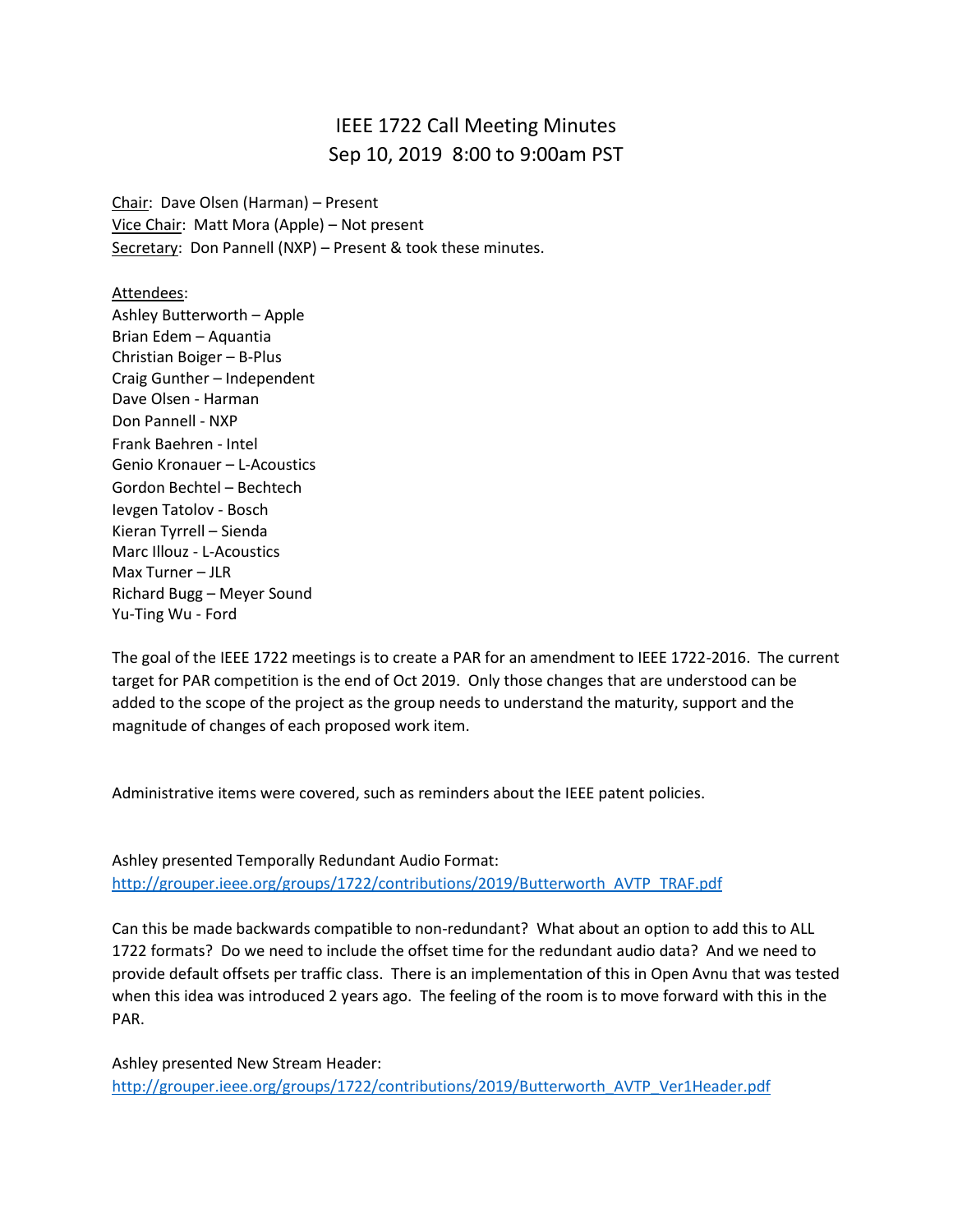## IEEE 1722 Call Meeting Minutes Sep 10, 2019 8:00 to 9:00am PST

Chair: Dave Olsen (Harman) – Present Vice Chair: Matt Mora (Apple) – Not present Secretary: Don Pannell (NXP) - Present & took these minutes.

Attendees: Ashley Butterworth – Apple Brian Edem – Aquantia Christian Boiger – B-Plus Craig Gunther – Independent Dave Olsen - Harman Don Pannell - NXP Frank Baehren - Intel Genio Kronauer – L-Acoustics Gordon Bechtel – Bechtech Ievgen Tatolov - Bosch Kieran Tyrrell – Sienda Marc Illouz - L-Acoustics Max Turner – JLR Richard Bugg – Meyer Sound Yu-Ting Wu - Ford

The goal of the IEEE 1722 meetings is to create a PAR for an amendment to IEEE 1722-2016. The current target for PAR competition is the end of Oct 2019. Only those changes that are understood can be added to the scope of the project as the group needs to understand the maturity, support and the magnitude of changes of each proposed work item.

Administrative items were covered, such as reminders about the IEEE patent policies.

Ashley presented Temporally Redundant Audio Format: [http://grouper.ieee.org/groups/1722/contributions/2019/Butterworth\\_AVTP\\_TRAF.pdf](http://grouper.ieee.org/groups/1722/contributions/2019/Butterworth_AVTP_TRAF.pdf)

Can this be made backwards compatible to non-redundant? What about an option to add this to ALL 1722 formats? Do we need to include the offset time for the redundant audio data? And we need to provide default offsets per traffic class. There is an implementation of this in Open Avnu that was tested when this idea was introduced 2 years ago. The feeling of the room is to move forward with this in the PAR.

Ashley presented New Stream Header: [http://grouper.ieee.org/groups/1722/contributions/2019/Butterworth\\_AVTP\\_Ver1Header.pdf](http://grouper.ieee.org/groups/1722/contributions/2019/Butterworth_AVTP_Ver1Header.pdf)